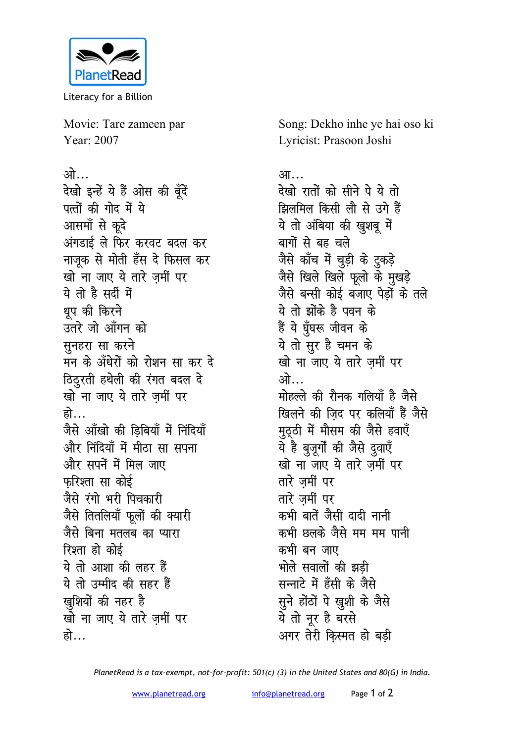

Literacy for a Billion

Movie: Tare zameen par Year: 2007

ओ… देखो इन्हें ये हैं ओस की बूँदें पत्तों की गोद में ये आसमॉं से कूदे अंगडाई ले फिर करवट बदल कर नाजूक से मोती हँस दे फिसल कर खो ना जाए ये तारे जमीं पर ये तो है सर्दी में धप की किरने उतरे जो आँगन को सुनहरा सा करने मन के अँधेरों को रोशन सा कर दे ठिठुरती हथेली की रंगत बदल दे खो ना जाए ये तारे ज़मीं पर हो… जैसे आँखो की डिबियाँ में निंदियाँ और निंदियाँ में मीठा सा सपना और सपनें में मिल जाए फरिश्ता सा कोई जैसे रंगो भरी पिचकारी जैसे तितलियाँ फूलों की क्यारी जैसे बिना मतलब का प्यारा रिश्ता हो कोई ये तो आशा की लहर हैं ये तो उम्मीद की सहर हैं खुशियों की नहर है खो ना जाए ये तारे ज़र्मी पर हो…

Song: Dekho inhe ye hai oso ki Lyricist: Prasoon Joshi

## आ… देखो रातों को सीने पे ये तो झिलमिल किसी लौ से उगे हैं ये तो अंबिया की खुशबू में बागों से बह चले जैसे काँच में चुड़ी के टुकड़े<br>जैसे खिले खिले फूलो के मुखड़े जैसे बन्सी कोई बजाए पेडों के तले ये तो झोंके है पवन के हैं ये घूँघरू जीवन के ये तो सुर है चमन के खो ना जाए ये तारे जमीं पर ओ… मोहल्ले की रौनक गलियाँ है जैसे खिलने की जिद पर कलियाँ हैं जैसे मठठी में मौसम की जैसे हवाएँ ये है बुजूर्गों की जैसे दुवाएँ खो ना जाए ये तारे जमीं पर तारे जमीं पर तारे जमीं पर कभी बातें जैसी दादी नानी कभी छलके जैसे मम मम पानी कभी बन जाए भोले सवालों की झडी सन्नाटे में हँसी के जैसे सूने होंठों पे खुशी के जैसे ये तो नूर है बरसे अगर तेरी किस्मत हो बडी

PlanetRead is a tax-exempt, not-for-profit: 501(c) (3) in the United States and 80(G) in India.